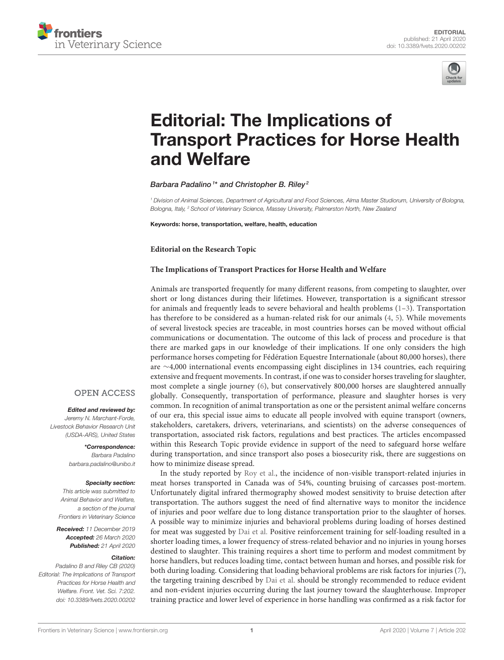



# Editorial: The Implications of [Transport Practices for Horse Health](https://www.frontiersin.org/articles/10.3389/fvets.2020.00202/full) and Welfare

[Barbara Padalino](http://loop.frontiersin.org/people/504150/overview)  $1^\star$  and [Christopher B. Riley](http://loop.frontiersin.org/people/504163/overview)  $^2$ 

*<sup>1</sup> Division of Animal Sciences, Department of Agricultural and Food Sciences, Alma Master Studiorum, University of Bologna, Bologna, Italy, <sup>2</sup> School of Veterinary Science, Massey University, Palmerston North, New Zealand*

Keywords: horse, transportation, welfare, health, education

**Editorial on the Research Topic**

#### **[The Implications of Transport Practices for Horse Health and Welfare](https://www.frontiersin.org/research-topics/7380/the-implications-of-transport-practices-for-horse-health-and-welfare)**

Animals are transported frequently for many different reasons, from competing to slaughter, over short or long distances during their lifetimes. However, transportation is a significant stressor for animals and frequently leads to severe behavioral and health problems  $(1-3)$  $(1-3)$ . Transportation has therefore to be considered as a human-related risk for our animals [\(4,](#page-1-2) [5\)](#page-1-3). While movements of several livestock species are traceable, in most countries horses can be moved without official communications or documentation. The outcome of this lack of process and procedure is that there are marked gaps in our knowledge of their implications. If one only considers the high performance horses competing for Fédération Equestre Internationale (about 80,000 horses), there are ∼4,000 international events encompassing eight disciplines in 134 countries, each requiring extensive and frequent movements. In contrast, if one was to consider horses traveling for slaughter, most complete a single journey [\(6\)](#page-1-4), but conservatively 800,000 horses are slaughtered annually globally. Consequently, transportation of performance, pleasure and slaughter horses is very common. In recognition of animal transportation as one or the persistent animal welfare concerns of our era, this special issue aims to educate all people involved with equine transport (owners, stakeholders, caretakers, drivers, veterinarians, and scientists) on the adverse consequences of transportation, associated risk factors, regulations and best practices. The articles encompassed within this Research Topic provide evidence in support of the need to safeguard horse welfare during transportation, and since transport also poses a biosecurity risk, there are suggestions on how to minimize disease spread.

In the study reported by [Roy et al.,](https://doi.org/10.3389/fvets.2018.00344) the incidence of non-visible transport-related injuries in meat horses transported in Canada was of 54%, counting bruising of carcasses post-mortem. Unfortunately digital infrared thermography showed modest sensitivity to bruise detection after transportation. The authors suggest the need of find alternative ways to monitor the incidence of injuries and poor welfare due to long distance transportation prior to the slaughter of horses. A possible way to minimize injuries and behavioral problems during loading of horses destined for meat was suggested by [Dai et al.](https://doi.org/10.3389/fvets.2019.00350) Positive reinforcement training for self-loading resulted in a shorter loading times, a lower frequency of stress-related behavior and no injuries in young horses destined to slaughter. This training requires a short time to perform and modest commitment by horse handlers, but reduces loading time, contact between human and horses, and possible risk for both during loading. Considering that loading behavioral problems are risk factors for injuries [\(7\)](#page-1-5), the targeting training described by [Dai et al.](https://doi.org/10.3389/fvets.2019.00350) should be strongly recommended to reduce evident and non-evident injuries occurring during the last journey toward the slaughterhouse. Improper training practice and lower level of experience in horse handling was confirmed as a risk factor for

## **OPEN ACCESS**

Edited and reviewed by:

*Jeremy N. Marchant-Forde, Livestock Behavior Research Unit (USDA-ARS), United States*

> \*Correspondence: *Barbara Padalino*

*[barbara.padalino@unibo.it](mailto:barbara.padalino@unibo.it)*

#### Specialty section:

*This article was submitted to Animal Behavior and Welfare, a section of the journal Frontiers in Veterinary Science*

Received: *11 December 2019* Accepted: *26 March 2020* Published: *21 April 2020*

#### Citation:

*Padalino B and Riley CB (2020) Editorial: The Implications of Transport Practices for Horse Health and Welfare. Front. Vet. Sci. 7:202. doi: [10.3389/fvets.2020.00202](https://doi.org/10.3389/fvets.2020.00202)*